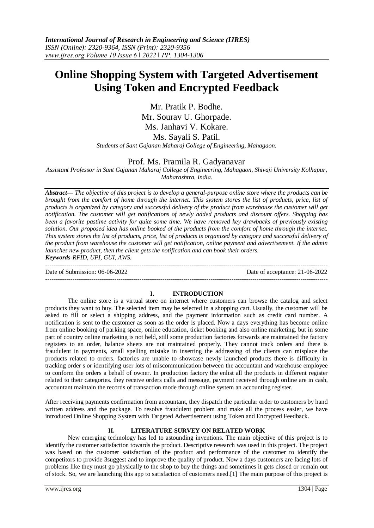# **Online Shopping System with Targeted Advertisement Using Token and Encrypted Feedback**

Mr. Pratik P. Bodhe. Mr. Sourav U. Ghorpade. Ms. Janhavi V. Kokare. Ms. Sayali S. Patil. *Students of Sant Gajanan Maharaj College of Engineering, Mahagaon.*

# Prof. Ms. Pramila R. Gadyanavar

*Assistant Professor in Sant Gajanan Maharaj College of Engineering, Mahagaon, Shivaji University Kolhapur, Maharashtra, India.*

*Abstract***—** *The objective of this project is to develop a general-purpose online store where the products can be brought from the comfort of home through the internet. This system stores the list of products, price, list of products is organized by category and successful delivery of the product from warehouse the customer will get notification. The customer will get notifications of newly added products and discount offers. Shopping has been a favorite pastime activity for quite some time. We have removed key drawbacks of previously existing solution. Our proposed idea has online booked of the products from the comfort of home through the internet. This system stores the list of products, price, list of products is organized by category and successful delivery of the product from warehouse the customer will get notification, online payment and advertisement. If the admin launches new product, then the client gets the notification and can book their orders. Keywords-RFID, UPI, GUI, AWS.* ---------------------------------------------------------------------------------------------------------------------------------------

Date of Submission: 06-06-2022 Date of acceptance: 21-06-2022 ---------------------------------------------------------------------------------------------------------------------------------------

# **I. INTRODUCTION**

The online store is a virtual store on internet where customers can browse the catalog and select products they want to buy. The selected item may be selected in a shopping cart. Usually, the customer will be asked to fill or select a shipping address, and the payment information such as credit card number. A notification is sent to the customer as soon as the order is placed. Now a days everything has become online from online booking of parking space, online education, ticket booking and also online marketing. but in some part of country online marketing is not held, still some production factories forwards are maintained the factory registers to an order, balance sheets are not maintained properly. They cannot track orders and there is fraudulent in payments, small spelling mistake in inserting the addressing of the clients can misplace the products related to orders. factories are unable to showcase newly launched products there is difficulty in tracking order s or identifying user lots of miscommunication between the accountant and warehouse employee to conform the orders a behalf of owner. In production factory the enlist all the products in different register related to their categories. they receive orders calls and message, payment received through online are in cash, accountant maintain the records of transaction mode through online system an accounting register.

After receiving payments confirmation from accountant, they dispatch the particular order to customers by hand written address and the package. To resolve fraudulent problem and make all the process easier, we have introduced Online Shopping System with Targeted Advertisement using Token and Encrypted Feedback.

# **II. LITERATURE SURVEY ON RELATED WORK**

New emerging technology has led to astounding inventions. The main objective of this project is to identify the customer satisfaction towards the product. Descriptive research was used in this project. The project was based on the customer satisfaction of the product and performance of the customer to identify the competitors to provide 3suggest and to improve the quality of product. Now a days customers are facing lots of problems like they must go physically to the shop to buy the things and sometimes it gets closed or remain out of stock. So, we are launching this app to satisfaction of customers need.[1] The main purpose of this project is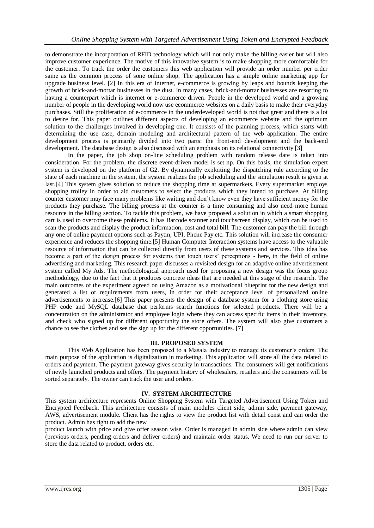to demonstrate the incorporation of RFID technology which will not only make the billing easier but will also improve customer experience. The motive of this innovative system is to make shopping more comfortable for the customer. To track the order the customers this web application will provide an order number per order same as the common process of sone online shop. The application has a simple online marketing app for upgrade business level. [2] In this era of internet, e-commerce is growing by leaps and bounds keeping the growth of brick-and-mortar businesses in the dust. In many cases, brick-and-mortar businesses are resorting to having a counterpart which is internet or e-commerce driven. People in the developed world and a growing number of people in the developing world now use ecommerce websites on a daily basis to make their everyday purchases. Still the proliferation of e-commerce in the underdeveloped world is not that great and there is a lot to desire for. This paper outlines different aspects of developing an ecommerce website and the optimum solution to the challenges involved in developing one. It consists of the planning process, which starts with determining the use case, domain modeling and architectural pattern of the web application. The entire development process is primarily divided into two parts: the front-end development and the back-end development. The database design is also discussed with an emphasis on its relational connectivity [3]

In the paper, the job shop on-line scheduling problem with random release date is taken into consideration. For the problem, the discrete event-driven model is set np. On this basis, the simulation expert system is developed on the platform of G2. By dynamically exploiting the dispatching rule according to the state of each machine in the system, the system realizes the job scheduling and the simulation result is given at last.[4] This system gives solution to reduce the shopping time at supermarkets. Every supermarket employs shopping trolley in order to aid customers to select the products which they intend to purchase. At billing counter customer may face many problems like waiting and don't know even they have sufficient money for the products they purchase. The billing process at the counter is a time consuming and also need more human resource in the billing section. To tackle this problem, we have proposed a solution in which a smart shopping cart is used to overcome these problems. It has Barcode scanner and touchscreen display, which can be used to scan the products and display the product information, cost and total bill. The customer can pay the bill through any one of online payment options such as Paytm, UPI, Phone Pay etc. This solution will increase the consumer experience and reduces the shopping time.[5] Human Computer Interaction systems have access to the valuable resource of information that can be collected directly from users of these systems and services. This idea has become a part of the design process for systems that touch users' perceptions - here, in the field of online advertising and marketing. This research paper discusses a revisited design for an adaptive online advertisement system called My Ads. The methodological approach used for proposing a new design was the focus group methodology, due to the fact that it produces concrete ideas that are needed at this stage of the research. The main outcomes of the experiment agreed on using Amazon as a motivational blueprint for the new design and generated a list of requirements from users, in order for their acceptance level of personalized online advertisements to increase.[6] This paper presents the design of a database system for a clothing store using PHP code and MySQL database that performs search functions for selected products. There will be a concentration on the administrator and employee login where they can access specific items in their inventory, and check who signed up for different opportunity the store offers. The system will also give customers a chance to see the clothes and see the sign up for the different opportunities. [7]

# **III. PROPOSED SYSTEM**

This Web Application has been proposed to a Masala Industry to manage its customer's orders. The main purpose of the application is digitalization in marketing. This application will store all the data related to orders and payment. The payment gateway gives security in transactions. The consumers will get notifications of newly launched products and offers. The payment history of wholesalers, retailers and the consumers will be sorted separately. The owner can track the user and orders.

### **IV. SYSTEM ARCHITECTURE**

This system architecture represents Online Shopping System with Targeted Advertisement Using Token and Encrypted Feedback. This architecture consists of main modules client side, admin side, payment gateway, AWS, advertisement module. Client has the rights to view the product list with detail const and can order the product. Admin has right to add the new

product launch with price and give offer season wise. Order is managed in admin side where admin can view (previous orders, pending orders and deliver orders) and maintain order status. We need to run our server to store the data related to product, orders etc.